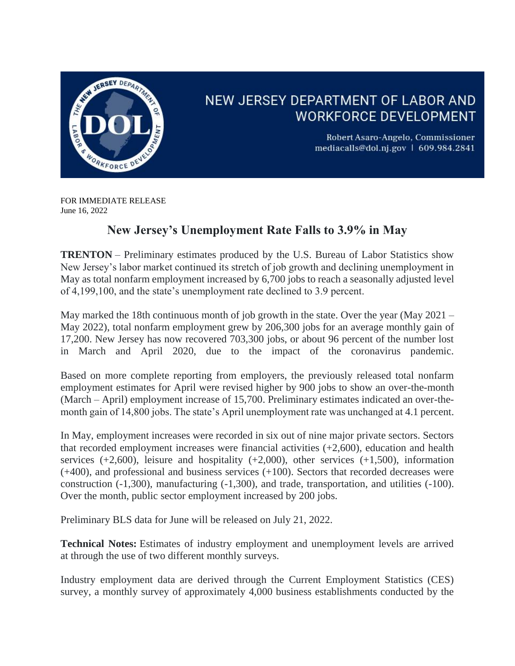

## NEW JERSEY DEPARTMENT OF LABOR AND **WORKFORCE DEVELOPMENT**

Robert Asaro-Angelo, Commissioner mediacalls@dol.nj.gov | 609.984.2841

FOR IMMEDIATE RELEASE June 16, 2022

## **New Jersey's Unemployment Rate Falls to 3.9% in May**

**TRENTON** – Preliminary estimates produced by the U.S. Bureau of Labor Statistics show New Jersey's labor market continued its stretch of job growth and declining unemployment in May as total nonfarm employment increased by 6,700 jobs to reach a seasonally adjusted level of 4,199,100, and the state's unemployment rate declined to 3.9 percent.

May marked the 18th continuous month of job growth in the state. Over the year (May 2021 – May 2022), total nonfarm employment grew by 206,300 jobs for an average monthly gain of 17,200. New Jersey has now recovered 703,300 jobs, or about 96 percent of the number lost in March and April 2020, due to the impact of the coronavirus pandemic.

Based on more complete reporting from employers, the previously released total nonfarm employment estimates for April were revised higher by 900 jobs to show an over-the-month (March – April) employment increase of 15,700. Preliminary estimates indicated an over-themonth gain of 14,800 jobs. The state's April unemployment rate was unchanged at 4.1 percent.

In May, employment increases were recorded in six out of nine major private sectors. Sectors that recorded employment increases were financial activities  $(+2,600)$ , education and health services  $(+2,600)$ , leisure and hospitality  $(+2,000)$ , other services  $(+1,500)$ , information (+400), and professional and business services (+100). Sectors that recorded decreases were construction (-1,300), manufacturing (-1,300), and trade, transportation, and utilities (-100). Over the month, public sector employment increased by 200 jobs.

Preliminary BLS data for June will be released on July 21, 2022.

**Technical Notes:** Estimates of industry employment and unemployment levels are arrived at through the use of two different monthly surveys.

Industry employment data are derived through the Current Employment Statistics (CES) survey, a monthly survey of approximately 4,000 business establishments conducted by the